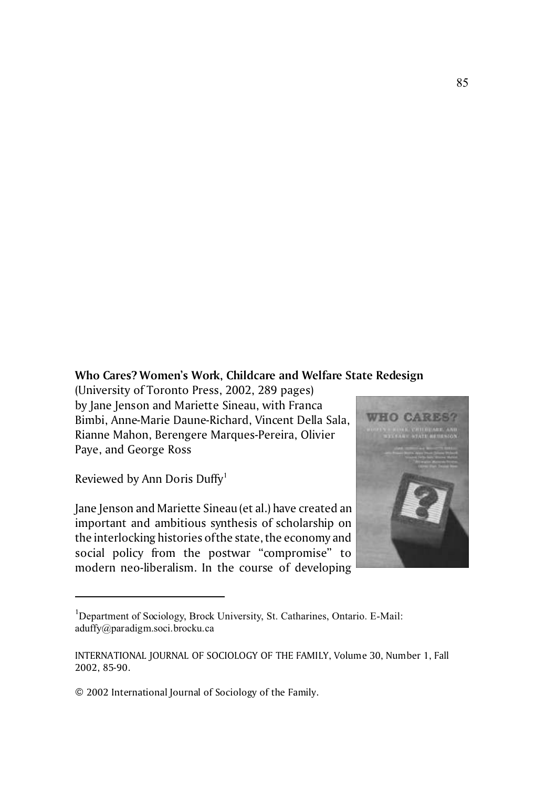## **Who Cares? Women's Work, Childcare and Welfare State Redesign**

(University of Toronto Press, 2002, 289 pages) by Jane Jenson and Mariette Sineau, with Franca Bimbi, Anne-Marie Daune-Richard, Vincent Della Sala, Rianne Mahon, Berengere Marques-Pereira, Olivier Paye, and George Ross

Reviewed by Ann Doris Duffy<sup>1</sup>

Jane Jenson and Mariette Sineau (et al.) have created an important and ambitious synthesis of scholarship on the interlocking histories of the state, the economy and social policy from the postwar "compromise" to modern neo-liberalism. In the course of developing



<sup>&</sup>lt;sup>1</sup>Department of Sociology, Brock University, St. Catharines, Ontario. E-Mail: aduffy@paradigm.soci.brocku.ca

INTERNATIONAL JOURNAL OF SOCIOLOGY OF THE FAMILY, Volume 30, Number 1, Fall 2002, 85-90.

<sup>© 2002</sup> International Journal of Sociology of the Family.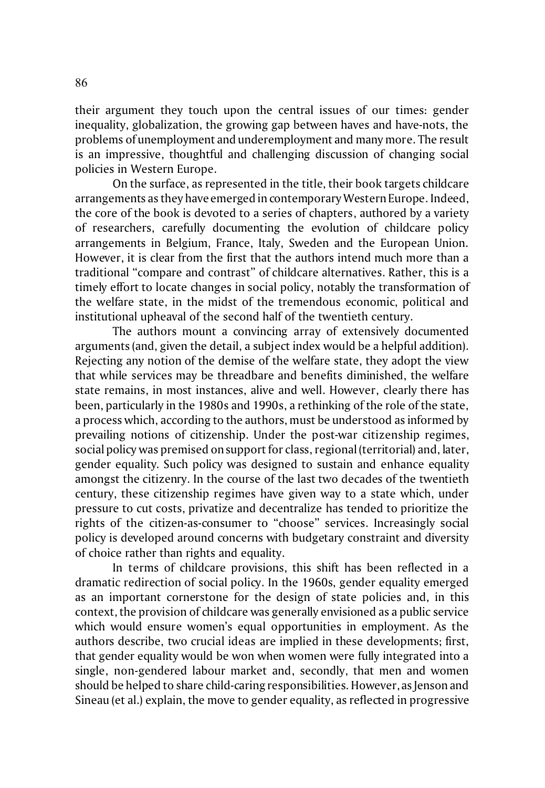their argument they touch upon the central issues of our times: gender inequality, globalization, the growing gap between haves and have-nots, the problems of unemployment and underemployment and many more. The result is an impressive, thoughtful and challenging discussion of changing social policies in Western Europe.

On the surface, as represented in the title, their book targets childcare arrangements as they have emerged in contemporary Western Europe. Indeed, the core of the book is devoted to a series of chapters, authored by a variety of researchers, carefully documenting the evolution of childcare policy arrangements in Belgium, France, Italy, Sweden and the European Union. However, it is clear from the first that the authors intend much more than a traditional "compare and contrast" of childcare alternatives. Rather, this is a timely effort to locate changes in social policy, notably the transformation of the welfare state, in the midst of the tremendous economic, political and institutional upheaval of the second half of the twentieth century.

The authors mount a convincing array of extensively documented arguments (and, given the detail, a subject index would be a helpful addition). Rejecting any notion of the demise of the welfare state, they adopt the view that while services may be threadbare and benefits diminished, the welfare state remains, in most instances, alive and well. However, clearly there has been, particularly in the 1980s and 1990s, a rethinking of the role of the state, a process which, according to the authors, must be understood as informed by prevailing notions of citizenship. Under the post-war citizenship regimes, social policy was premised on support for class, regional (territorial) and, later, gender equality. Such policy was designed to sustain and enhance equality amongst the citizenry. In the course of the last two decades of the twentieth century, these citizenship regimes have given way to a state which, under pressure to cut costs, privatize and decentralize has tended to prioritize the rights of the citizen-as-consumer to "choose" services. Increasingly social policy is developed around concerns with budgetary constraint and diversity of choice rather than rights and equality.

In terms of childcare provisions, this shift has been reflected in a dramatic redirection of social policy. In the 1960s, gender equality emerged as an important cornerstone for the design of state policies and, in this context, the provision of childcare was generally envisioned as a public service which would ensure women's equal opportunities in employment. As the authors describe, two crucial ideas are implied in these developments; first, that gender equality would be won when women were fully integrated into a single, non-gendered labour market and, secondly, that men and women should be helped to share child-caring responsibilities. However, as Jenson and Sineau (et al.) explain, the move to gender equality, as reflected in progressive